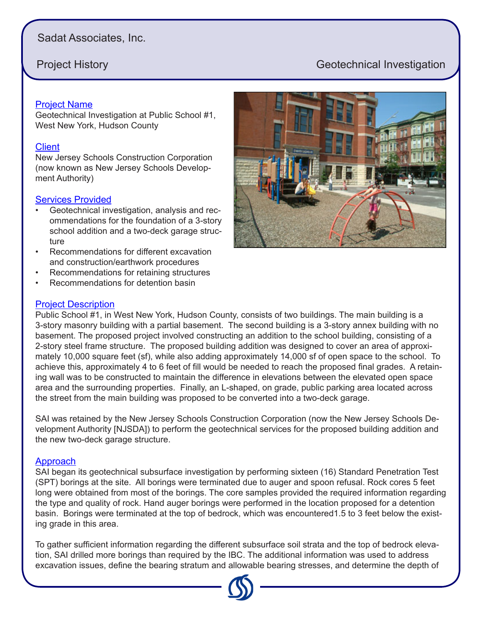# Sadat Associates, Inc.

# **Project History** Geotechnical Investigation

# Project Name

Geotechnical Investigation at Public School #1, West New York, Hudson County

## **Client**

New Jersey Schools Construction Corporation (now known as New Jersey Schools Development Authority)

# Services Provided

- Geotechnical investigation, analysis and recommendations for the foundation of a 3-story school addition and a two-deck garage structure
- Recommendations for different excavation and construction/earthwork procedures
- Recommendations for retaining structures
- Recommendations for detention basin

# Project Description

Public School #1, in West New York, Hudson County, consists of two buildings. The main building is a 3-story masonry building with a partial basement. The second building is a 3-story annex building with no basement. The proposed project involved constructing an addition to the school building, consisting of a 2-story steel frame structure. The proposed building addition was designed to cover an area of approximately 10,000 square feet (sf), while also adding approximately 14,000 sf of open space to the school. To achieve this, approximately 4 to 6 feet of fill would be needed to reach the proposed final grades. A retaining wall was to be constructed to maintain the difference in elevations between the elevated open space area and the surrounding properties. Finally, an L-shaped, on grade, public parking area located across the street from the main building was proposed to be converted into a two-deck garage.

SAI was retained by the New Jersey Schools Construction Corporation (now the New Jersey Schools Development Authority [NJSDA]) to perform the geotechnical services for the proposed building addition and the new two-deck garage structure.

# Approach

SAI began its geotechnical subsurface investigation by performing sixteen (16) Standard Penetration Test (SPT) borings at the site. All borings were terminated due to auger and spoon refusal. Rock cores 5 feet long were obtained from most of the borings. The core samples provided the required information regarding the type and quality of rock. Hand auger borings were performed in the location proposed for a detention basin. Borings were terminated at the top of bedrock, which was encountered1.5 to 3 feet below the existing grade in this area.

To gather sufficient information regarding the different subsurface soil strata and the top of bedrock elevation, SAI drilled more borings than required by the IBC. The additional information was used to address excavation issues, define the bearing stratum and allowable bearing stresses, and determine the depth of